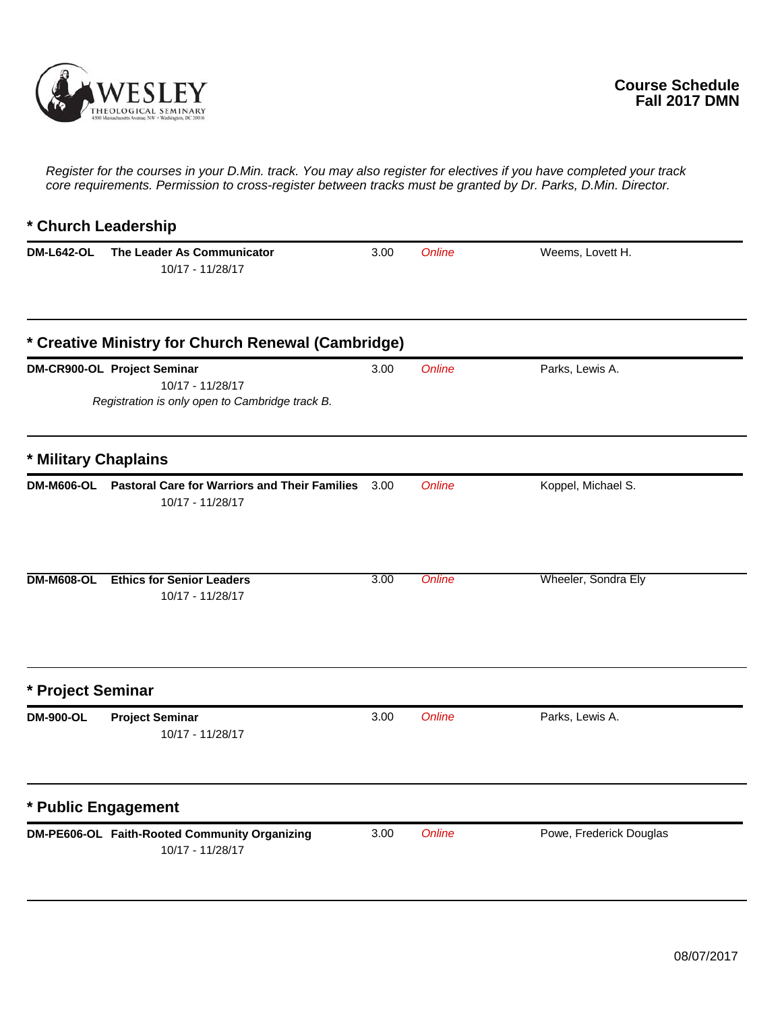

*Register for the courses in your D.Min. track. You may also register for electives if you have completed your track core requirements. Permission to cross-register between tracks must be granted by Dr. Parks, D.Min. Director.*

## **\* Church Leadership DM-L642-OL The Leader As Communicator** 3.00 *Online* Weems, Lovett H. 10/17 - 11/28/17 **\* Creative Ministry for Church Renewal (Cambridge) DM-CR900-OL Project Seminar** 3.00 *Online* Parks, Lewis A. *Registration is only open to Cambridge track B.* 10/17 - 11/28/17 **\* Military Chaplains DM-M606-OL Pastoral Care for Warriors and Their Families** 3.00 Online Koppel, Michael S. 10/17 - 11/28/17 **DM-M608-OL Ethics for Senior Leaders** 3.00 *Online* Wheeler, Sondra Ely 10/17 - 11/28/17 **\* Project Seminar DM-900-OL Project Seminar** 3.00 *Online* Parks, Lewis A. 10/17 - 11/28/17 **\* Public Engagement DM-PE606-OL Faith-Rooted Community Organizing** 3.00 *Online* Powe, Frederick Douglas 10/17 - 11/28/17